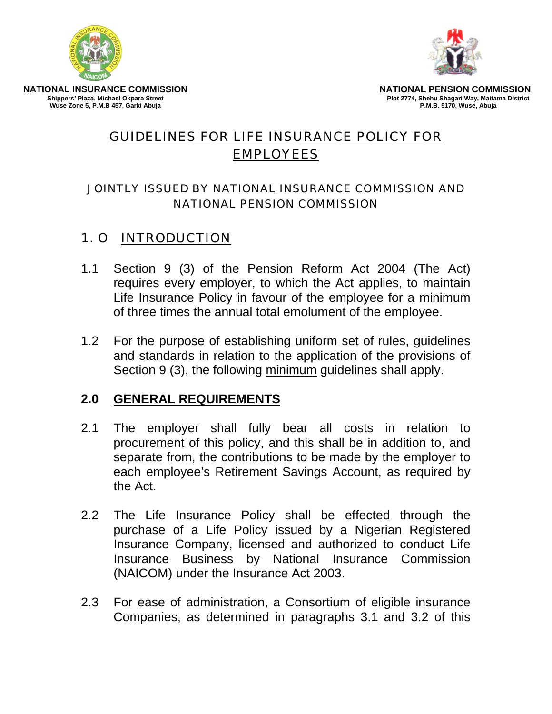



**NATIONAL INSURANCE COMMISSION Shippers' Plaza, Michael Okpara Street Wuse Zone 5, P.M.B 457, Garki Abuja** 

**NATIONAL PENSION COMMISSION Plot 2774, Shehu Shagari Way, Maitama District P.M.B. 5170, Wuse, Abuja** 

# GUIDELINES FOR LIFE INSURANCE POLICY FOR EMPLOYEES

#### JOINTLY ISSUED BY NATIONAL INSURANCE COMMISSION AND NATIONAL PENSION COMMISSION

# 1. O INTRODUCTION

- 1.1 Section 9 (3) of the Pension Reform Act 2004 (The Act) requires every employer, to which the Act applies, to maintain Life Insurance Policy in favour of the employee for a minimum of three times the annual total emolument of the employee.
- 1.2 For the purpose of establishing uniform set of rules, guidelines and standards in relation to the application of the provisions of Section 9 (3), the following minimum guidelines shall apply.

#### **2.0 GENERAL REQUIREMENTS**

- 2.1 The employer shall fully bear all costs in relation to procurement of this policy, and this shall be in addition to, and separate from, the contributions to be made by the employer to each employee's Retirement Savings Account, as required by the Act.
- 2.2 The Life Insurance Policy shall be effected through the purchase of a Life Policy issued by a Nigerian Registered Insurance Company, licensed and authorized to conduct Life Insurance Business by National Insurance Commission (NAICOM) under the Insurance Act 2003.
- 2.3 For ease of administration, a Consortium of eligible insurance Companies, as determined in paragraphs 3.1 and 3.2 of this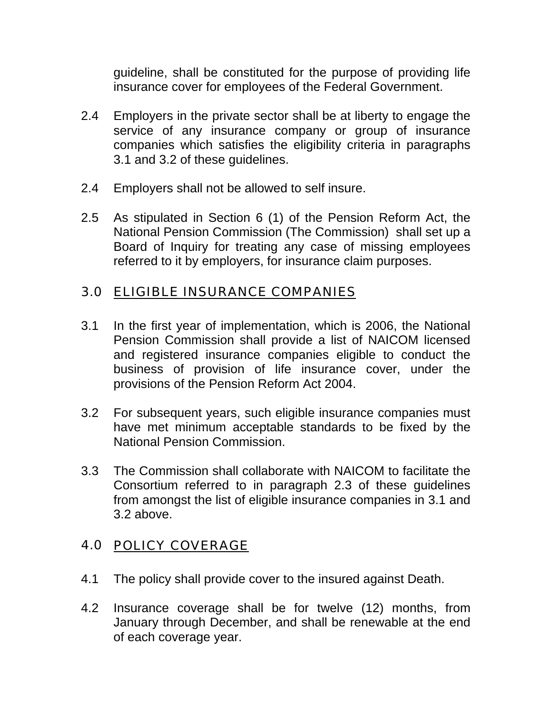guideline, shall be constituted for the purpose of providing life insurance cover for employees of the Federal Government.

- 2.4 Employers in the private sector shall be at liberty to engage the service of any insurance company or group of insurance companies which satisfies the eligibility criteria in paragraphs 3.1 and 3.2 of these guidelines.
- 2.4 Employers shall not be allowed to self insure.
- 2.5 As stipulated in Section 6 (1) of the Pension Reform Act, the National Pension Commission (The Commission) shall set up a Board of Inquiry for treating any case of missing employees referred to it by employers, for insurance claim purposes.

## 3.0 ELIGIBLE INSURANCE COMPANIES

- 3.1 In the first year of implementation, which is 2006, the National Pension Commission shall provide a list of NAICOM licensed and registered insurance companies eligible to conduct the business of provision of life insurance cover, under the provisions of the Pension Reform Act 2004.
- 3.2 For subsequent years, such eligible insurance companies must have met minimum acceptable standards to be fixed by the National Pension Commission.
- 3.3 The Commission shall collaborate with NAICOM to facilitate the Consortium referred to in paragraph 2.3 of these guidelines from amongst the list of eligible insurance companies in 3.1 and 3.2 above.

# 4.0 POLICY COVERAGE

- 4.1 The policy shall provide cover to the insured against Death.
- 4.2 Insurance coverage shall be for twelve (12) months, from January through December, and shall be renewable at the end of each coverage year.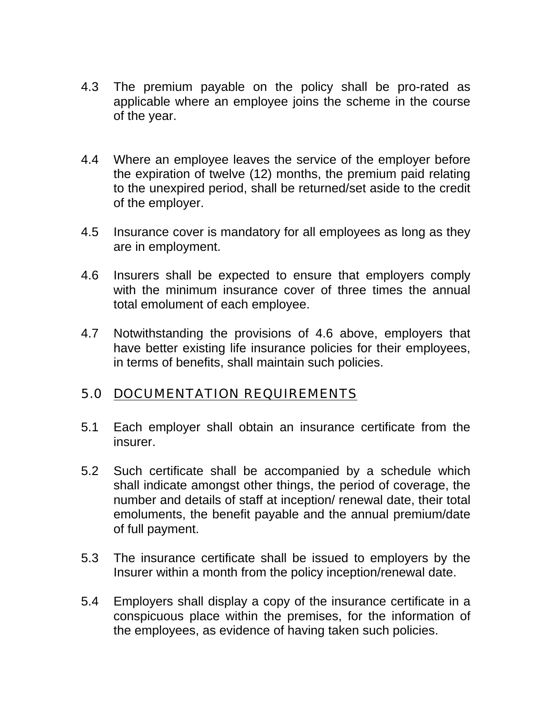- 4.3 The premium payable on the policy shall be pro-rated as applicable where an employee joins the scheme in the course of the year.
- 4.4 Where an employee leaves the service of the employer before the expiration of twelve (12) months, the premium paid relating to the unexpired period, shall be returned/set aside to the credit of the employer.
- 4.5 Insurance cover is mandatory for all employees as long as they are in employment.
- 4.6 Insurers shall be expected to ensure that employers comply with the minimum insurance cover of three times the annual total emolument of each employee.
- 4.7 Notwithstanding the provisions of 4.6 above, employers that have better existing life insurance policies for their employees, in terms of benefits, shall maintain such policies.

### 5.0 DOCUMENTATION REQUIREMENTS

- 5.1 Each employer shall obtain an insurance certificate from the insurer.
- 5.2 Such certificate shall be accompanied by a schedule which shall indicate amongst other things, the period of coverage, the number and details of staff at inception/ renewal date, their total emoluments, the benefit payable and the annual premium/date of full payment.
- 5.3 The insurance certificate shall be issued to employers by the Insurer within a month from the policy inception/renewal date.
- 5.4 Employers shall display a copy of the insurance certificate in a conspicuous place within the premises, for the information of the employees, as evidence of having taken such policies.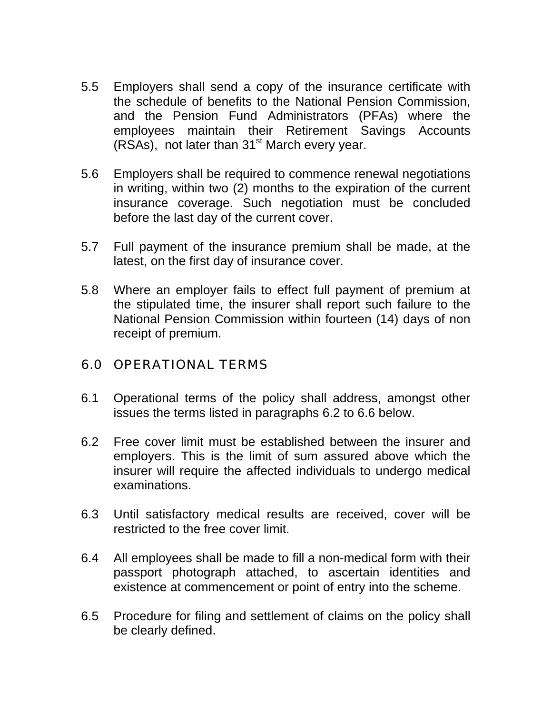- 5.5 Employers shall send a copy of the insurance certificate with the schedule of benefits to the National Pension Commission, and the Pension Fund Administrators (PFAs) where the employees maintain their Retirement Savings Accounts  $(RSAs)$ , not later than 31<sup>st</sup> March every year.
- 5.6 Employers shall be required to commence renewal negotiations in writing, within two (2) months to the expiration of the current insurance coverage. Such negotiation must be concluded before the last day of the current cover.
- 5.7 Full payment of the insurance premium shall be made, at the latest, on the first day of insurance cover.
- 5.8 Where an employer fails to effect full payment of premium at the stipulated time, the insurer shall report such failure to the National Pension Commission within fourteen (14) days of non receipt of premium.

#### 6.0 OPERATIONAL TERMS

- 6.1 Operational terms of the policy shall address, amongst other issues the terms listed in paragraphs 6.2 to 6.6 below.
- 6.2 Free cover limit must be established between the insurer and employers. This is the limit of sum assured above which the insurer will require the affected individuals to undergo medical examinations.
- 6.3 Until satisfactory medical results are received, cover will be restricted to the free cover limit.
- 6.4 All employees shall be made to fill a non-medical form with their passport photograph attached, to ascertain identities and existence at commencement or point of entry into the scheme.
- 6.5 Procedure for filing and settlement of claims on the policy shall be clearly defined.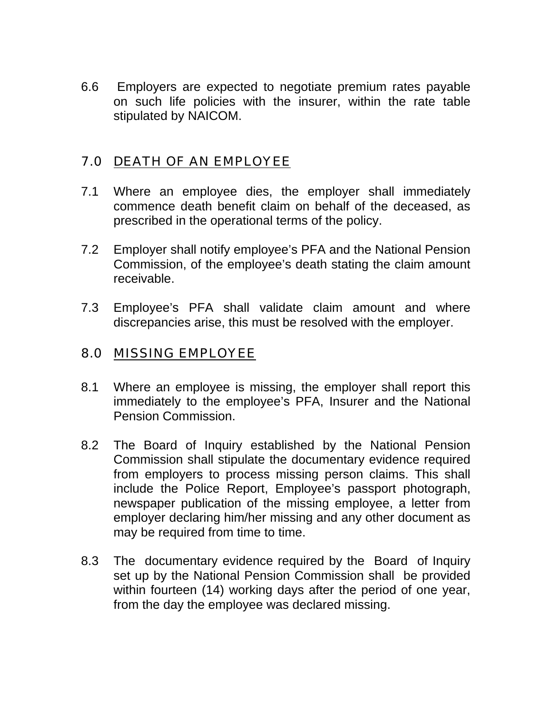6.6 Employers are expected to negotiate premium rates payable on such life policies with the insurer, within the rate table stipulated by NAICOM.

#### 7.0 DEATH OF AN EMPLOYEE

- 7.1 Where an employee dies, the employer shall immediately commence death benefit claim on behalf of the deceased, as prescribed in the operational terms of the policy.
- 7.2 Employer shall notify employee's PFA and the National Pension Commission, of the employee's death stating the claim amount receivable.
- 7.3 Employee's PFA shall validate claim amount and where discrepancies arise, this must be resolved with the employer.

### 8.0 MISSING EMPLOYEE

- 8.1 Where an employee is missing, the employer shall report this immediately to the employee's PFA, Insurer and the National Pension Commission.
- 8.2 The Board of Inquiry established by the National Pension Commission shall stipulate the documentary evidence required from employers to process missing person claims. This shall include the Police Report, Employee's passport photograph, newspaper publication of the missing employee, a letter from employer declaring him/her missing and any other document as may be required from time to time.
- 8.3 The documentary evidence required by the Board of Inquiry set up by the National Pension Commission shall be provided within fourteen (14) working days after the period of one year, from the day the employee was declared missing.